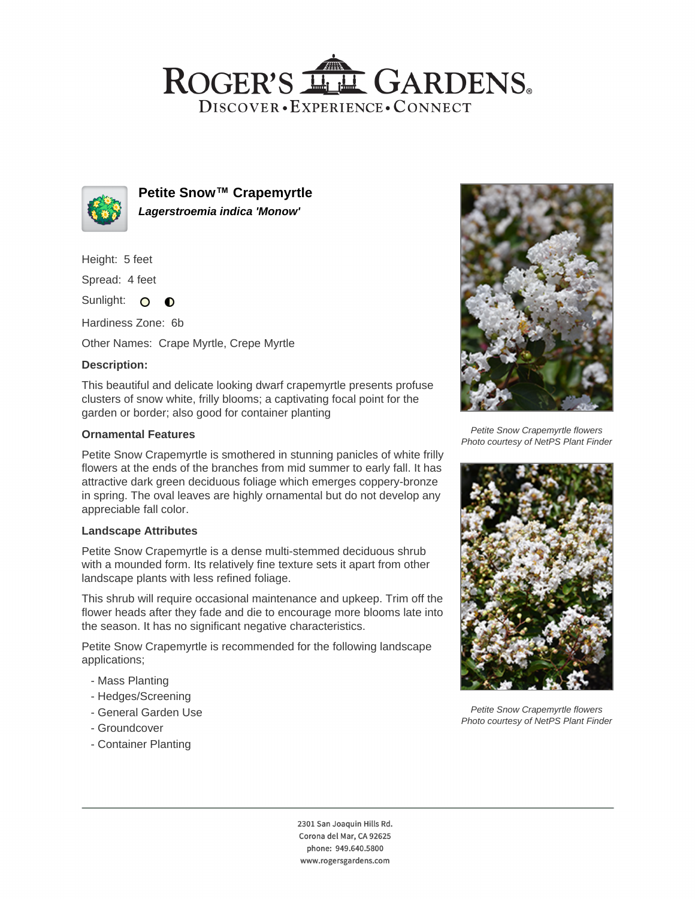## ROGER'S LL GARDENS. DISCOVER · EXPERIENCE · CONNECT



**Petite Snow™ Crapemyrtle Lagerstroemia indica 'Monow'**

Height: 5 feet

Spread: 4 feet

Sunlight: O **O** 

Hardiness Zone: 6b

Other Names: Crape Myrtle, Crepe Myrtle

## **Description:**

This beautiful and delicate looking dwarf crapemyrtle presents profuse clusters of snow white, frilly blooms; a captivating focal point for the garden or border; also good for container planting

#### **Ornamental Features**

Petite Snow Crapemyrtle is smothered in stunning panicles of white frilly flowers at the ends of the branches from mid summer to early fall. It has attractive dark green deciduous foliage which emerges coppery-bronze in spring. The oval leaves are highly ornamental but do not develop any appreciable fall color.

#### **Landscape Attributes**

Petite Snow Crapemyrtle is a dense multi-stemmed deciduous shrub with a mounded form. Its relatively fine texture sets it apart from other landscape plants with less refined foliage.

This shrub will require occasional maintenance and upkeep. Trim off the flower heads after they fade and die to encourage more blooms late into the season. It has no significant negative characteristics.

Petite Snow Crapemyrtle is recommended for the following landscape applications;

- Mass Planting
- Hedges/Screening
- General Garden Use
- Groundcover
- Container Planting



Petite Snow Crapemyrtle flowers Photo courtesy of NetPS Plant Finder



Petite Snow Crapemyrtle flowers Photo courtesy of NetPS Plant Finder